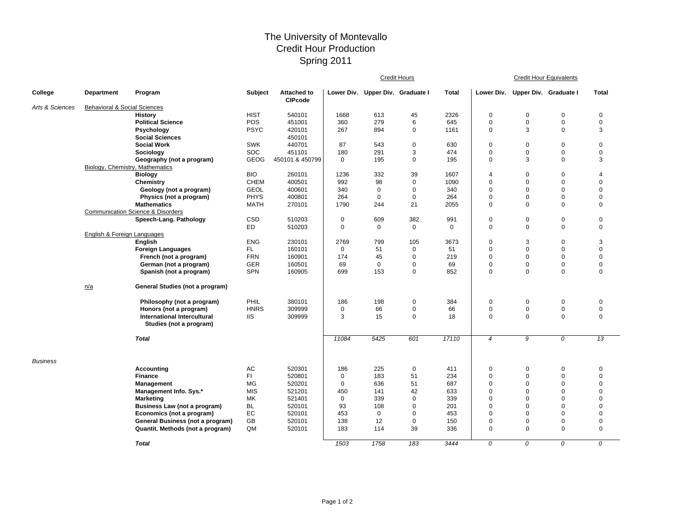## The University of Montevallo Credit Hour Production Spring 2011

|                 |                                         |                                              |             |                                      | <b>Credit Hours</b> |             |                                  |              | <b>Credit Hour Equivalents</b> |                       |                |                 |  |
|-----------------|-----------------------------------------|----------------------------------------------|-------------|--------------------------------------|---------------------|-------------|----------------------------------|--------------|--------------------------------|-----------------------|----------------|-----------------|--|
| College         | Department                              | Program                                      | Subject     | <b>Attached to</b><br><b>CIPcode</b> |                     |             | Lower Div. Upper Div. Graduate I | <b>Total</b> | Lower Div.                     | Upper Div. Graduate I |                | <b>Total</b>    |  |
| Arts & Sciences | <b>Behavioral &amp; Social Sciences</b> |                                              |             |                                      |                     |             |                                  |              |                                |                       |                |                 |  |
|                 |                                         | <b>History</b>                               | <b>HIST</b> | 540101                               | 1668                | 613         | 45                               | 2326         | 0                              | $\pmb{0}$             | $\pmb{0}$      | $\mathbf 0$     |  |
|                 |                                         | <b>Political Science</b>                     | POS         | 451001                               | 360                 | 279         | 6                                | 645          | 0                              | $\mathbf 0$           | $\mathsf 0$    | $\mathbf 0$     |  |
|                 |                                         | Psychology                                   | <b>PSYC</b> | 420101                               | 267                 | 894         | 0                                | 1161         | 0                              | 3                     | $\mathbf 0$    | 3               |  |
|                 |                                         | <b>Social Sciences</b>                       |             | 450101                               |                     |             |                                  |              |                                |                       |                |                 |  |
|                 |                                         | <b>Social Work</b>                           | <b>SWK</b>  | 440701                               | 87                  | 543         | $\mathbf 0$                      | 630          | 0                              | $\mathbf 0$           | $\mathsf 0$    | $\mathbf 0$     |  |
|                 |                                         | Sociology                                    | SOC         | 451101                               | 180                 | 291         | 3                                | 474          | 0                              | $\mathbf 0$           | $\mathsf 0$    | $\pmb{0}$       |  |
|                 |                                         | Geography (not a program)                    | <b>GEOG</b> | 450101 & 450799                      | $\Omega$            | 195         | 0                                | 195          | 0                              | 3                     | $\mathbf 0$    | 3               |  |
|                 | Biology, Chemistry, Mathematics         |                                              |             |                                      |                     |             |                                  |              |                                |                       |                |                 |  |
|                 |                                         | <b>Biology</b>                               | <b>BIO</b>  | 260101                               | 1236                | 332         | 39                               | 1607         | 4                              | $\mathbf 0$           | $\mathbf 0$    | 4               |  |
|                 |                                         | Chemistry                                    | <b>CHEM</b> | 400501                               | 992                 | 98          | $\mathbf 0$                      | 1090         | 0                              | $\mathbf 0$           | $\mathbf 0$    | $\mathbf 0$     |  |
|                 |                                         | Geology (not a program)                      | <b>GEOL</b> | 400601                               | 340                 | $\mathbf 0$ | 0                                | 340          | 0                              | $\mathbf 0$           | $\mathbf 0$    | $\Omega$        |  |
|                 |                                         | Physics (not a program)                      | <b>PHYS</b> | 400801                               | 264                 | $\mathbf 0$ | $\mathbf 0$                      | 264          | 0                              | $\mathbf 0$           | $\mathbf 0$    | $\mathbf 0$     |  |
|                 |                                         | <b>Mathematics</b>                           | <b>MATH</b> | 270101                               | 1790                | 244         | 21                               | 2055         | 0                              | $\mathbf 0$           | $\mathbf 0$    | $\mathbf 0$     |  |
|                 |                                         | <b>Communication Science &amp; Disorders</b> |             |                                      |                     |             |                                  |              |                                |                       |                |                 |  |
|                 |                                         | Speech-Lang. Pathology                       | CSD         | 510203                               | $\mathbf 0$         | 609         | 382                              | 991          | 0                              | $\mathbf 0$           | $\mathsf 0$    | $\mathbf 0$     |  |
|                 |                                         |                                              | <b>ED</b>   | 510203                               | 0                   | $\mathbf 0$ | $\mathbf 0$                      | $\mathbf 0$  | 0                              | $\mathbf 0$           | $\mathbf 0$    | $\mathbf 0$     |  |
|                 | English & Foreign Languages             |                                              |             |                                      |                     |             |                                  |              |                                |                       |                |                 |  |
|                 |                                         | English                                      | <b>ENG</b>  | 230101                               | 2769                | 799         | 105                              | 3673         | 0                              | 3                     | $\mathbf 0$    | 3               |  |
|                 |                                         | <b>Foreign Languages</b>                     | FL.         | 160101                               | $\mathbf 0$         | 51          | $\mathbf 0$                      | 51<br>219    | 0                              | $\mathbf 0$           | $\mathbf 0$    | $\mathbf 0$     |  |
|                 |                                         | French (not a program)                       | <b>FRN</b>  | 160901                               | 174                 | 45          | $\mathbf 0$                      |              | 0                              | $\mathbf 0$           | $\mathsf 0$    | $\mathbf 0$     |  |
|                 |                                         | German (not a program)                       | <b>GER</b>  | 160501                               | 69                  | $\mathbf 0$ | $\mathbf 0$                      | 69           | 0                              | $\mathbf 0$           | $\mathbf 0$    | $\mathbf 0$     |  |
|                 |                                         | Spanish (not a program)                      | SPN         | 160905                               | 699                 | 153         | $\mathbf 0$                      | 852          | 0                              | $\mathbf 0$           | $\mathbf 0$    | $\mathbf 0$     |  |
|                 | n/a                                     | General Studies (not a program)              |             |                                      |                     |             |                                  |              |                                |                       |                |                 |  |
|                 |                                         | Philosophy (not a program)                   | PHIL        | 380101                               | 186                 | 198         | $\mathbf 0$                      | 384          | 0                              | $\pmb{0}$             | $\pmb{0}$      | $\pmb{0}$       |  |
|                 |                                         | Honors (not a program)                       | <b>HNRS</b> | 309999                               | 0                   | 66          | $\mathbf 0$                      | 66           | 0                              | $\mathbf 0$           | $\mathsf 0$    | $\mathbf 0$     |  |
|                 |                                         | <b>International Intercultural</b>           | <b>IIS</b>  | 309999                               | 3                   | 15          | $\mathbf 0$                      | 18           | 0                              | $\mathbf 0$           | $\mathbf 0$    | $\mathbf 0$     |  |
|                 |                                         | Studies (not a program)                      |             |                                      |                     |             |                                  |              |                                |                       |                |                 |  |
|                 |                                         | <b>Total</b>                                 |             |                                      | 11084               | 5425        | 601                              | 17110        | $\overline{4}$                 | 9                     | $\overline{0}$ | $\overline{13}$ |  |
|                 |                                         |                                              |             |                                      |                     |             |                                  |              |                                |                       |                |                 |  |
| <b>Business</b> |                                         |                                              |             |                                      |                     |             |                                  |              |                                |                       |                |                 |  |
|                 |                                         | Accounting                                   | AC          | 520301                               | 186                 | 225         | $\mathbf 0$                      | 411          | 0                              | $\mathbf 0$           | $\pmb{0}$      | $\mathbf 0$     |  |
|                 |                                         | <b>Finance</b>                               | FI.         | 520801                               | $\mathbf 0$         | 183         | 51                               | 234          | 0                              | $\mathbf 0$           | $\mathbf 0$    | $\mathbf 0$     |  |
|                 |                                         | Management                                   | MG          | 520201                               | $\mathbf 0$         | 636         | 51                               | 687          | 0                              | $\mathbf 0$           | $\mathbf 0$    | $\mathbf 0$     |  |
|                 |                                         | Management Info. Sys.*                       | <b>MIS</b>  | 521201                               | 450                 | 141         | 42                               | 633          | 0                              | $\mathbf 0$           | $\mathbf 0$    | $\mathbf 0$     |  |
|                 |                                         | <b>Marketing</b>                             | MK          | 521401                               | $\mathbf 0$         | 339         | $\mathbf 0$                      | 339          | 0                              | $\mathbf 0$           | $\mathbf 0$    | $\mathbf 0$     |  |
|                 |                                         | Business Law (not a program)                 | <b>BL</b>   | 520101                               | 93                  | 108         | $\mathbf 0$                      | 201          | 0                              | $\mathbf 0$           | $\mathbf 0$    | $\mathbf 0$     |  |
|                 |                                         | Economics (not a program)                    | EC          | 520101                               | 453                 | $\mathbf 0$ | $\mathbf 0$                      | 453          | 0                              | $\mathbf 0$           | $\mathbf 0$    | $\mathbf 0$     |  |
|                 |                                         | General Business (not a program)             | GB          | 520101                               | 138                 | 12          | $\mathbf 0$                      | 150          | 0                              | $\mathbf 0$           | $\mathbf 0$    | $\mathbf 0$     |  |
|                 |                                         | Quantit. Methods (not a program)             | QM          | 520101                               | 183                 | 114         | 39                               | 336          | 0                              | $\mathbf 0$           | $\mathbf 0$    | $\mathbf 0$     |  |
|                 |                                         | <b>Total</b>                                 |             |                                      | 1503                | 1758        | 183                              | 3444         | 0                              | 0                     | $\overline{0}$ | $\overline{0}$  |  |